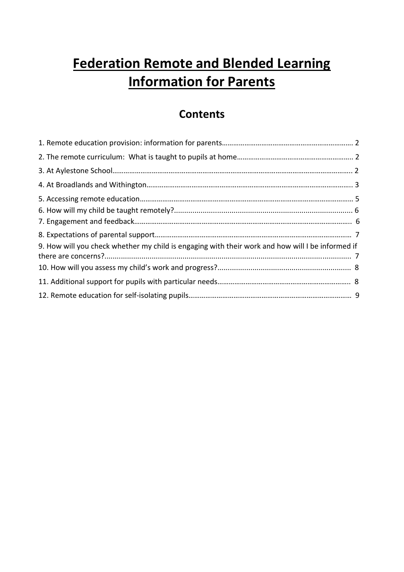# **Federation Remote and Blended Learning Information for Parents**

# **Contents**

| 9. How will you check whether my child is engaging with their work and how will I be informed if |  |
|--------------------------------------------------------------------------------------------------|--|
|                                                                                                  |  |
|                                                                                                  |  |
|                                                                                                  |  |
|                                                                                                  |  |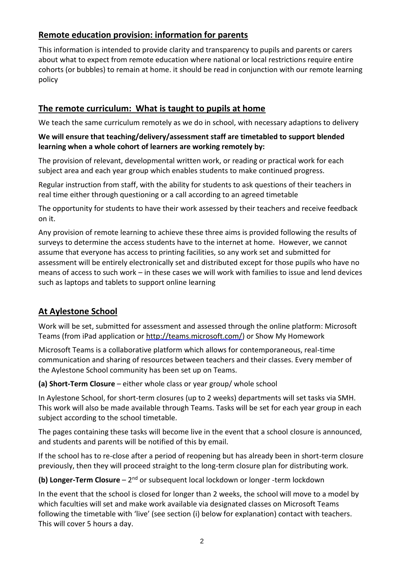# **Remote education provision: information for parents**

This information is intended to provide clarity and transparency to pupils and parents or carers about what to expect from remote education where national or local restrictions require entire cohorts (or bubbles) to remain at home. it should be read in conjunction with our remote learning policy

# **The remote curriculum: What is taught to pupils at home**

We teach the same curriculum remotely as we do in school, with necessary adaptions to delivery

#### **We will ensure that teaching/delivery/assessment staff are timetabled to support blended learning when a whole cohort of learners are working remotely by:**

The provision of relevant, developmental written work, or reading or practical work for each subject area and each year group which enables students to make continued progress.

Regular instruction from staff, with the ability for students to ask questions of their teachers in real time either through questioning or a call according to an agreed timetable

The opportunity for students to have their work assessed by their teachers and receive feedback on it.

Any provision of remote learning to achieve these three aims is provided following the results of surveys to determine the access students have to the internet at home. However, we cannot assume that everyone has access to printing facilities, so any work set and submitted for assessment will be entirely electronically set and distributed except for those pupils who have no means of access to such work – in these cases we will work with families to issue and lend devices such as laptops and tablets to support online learning

# **At Aylestone School**

Work will be set, submitted for assessment and assessed through the online platform: Microsoft Teams (from iPad application or [http://teams.microsoft.com/\)](http://teams.microsoft.com/) or Show My Homework

Microsoft Teams is a collaborative platform which allows for contemporaneous, real-time communication and sharing of resources between teachers and their classes. Every member of the Aylestone School community has been set up on Teams.

**(a) Short-Term Closure** – either whole class or year group/ whole school

In Aylestone School, for short-term closures (up to 2 weeks) departments will set tasks via SMH. This work will also be made available through Teams. Tasks will be set for each year group in each subject according to the school timetable.

The pages containing these tasks will become live in the event that a school closure is announced, and students and parents will be notified of this by email.

If the school has to re-close after a period of reopening but has already been in short-term closure previously, then they will proceed straight to the long-term closure plan for distributing work.

(b) Longer-Term Closure – 2<sup>nd</sup> or subsequent local lockdown or longer -term lockdown

In the event that the school is closed for longer than 2 weeks, the school will move to a model by which faculties will set and make work available via designated classes on Microsoft Teams following the timetable with 'live' (see section (i) below for explanation) contact with teachers. This will cover 5 hours a day.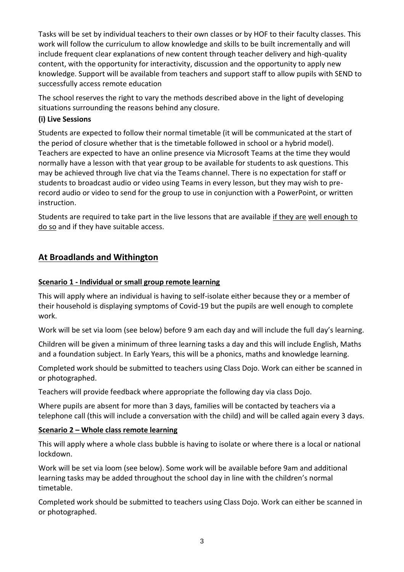Tasks will be set by individual teachers to their own classes or by HOF to their faculty classes. This work will follow the curriculum to allow knowledge and skills to be built incrementally and will include frequent clear explanations of new content through teacher delivery and high-quality content, with the opportunity for interactivity, discussion and the opportunity to apply new knowledge. Support will be available from teachers and support staff to allow pupils with SEND to successfully access remote education

The school reserves the right to vary the methods described above in the light of developing situations surrounding the reasons behind any closure.

#### **(i) Live Sessions**

Students are expected to follow their normal timetable (it will be communicated at the start of the period of closure whether that is the timetable followed in school or a hybrid model). Teachers are expected to have an online presence via Microsoft Teams at the time they would normally have a lesson with that year group to be available for students to ask questions. This may be achieved through live chat via the Teams channel. There is no expectation for staff or students to broadcast audio or video using Teams in every lesson, but they may wish to prerecord audio or video to send for the group to use in conjunction with a PowerPoint, or written instruction.

Students are required to take part in the live lessons that are available if they are well enough to do so and if they have suitable access.

# **At Broadlands and Withington**

#### **Scenario 1 - Individual or small group remote learning**

This will apply where an individual is having to self-isolate either because they or a member of their household is displaying symptoms of Covid-19 but the pupils are well enough to complete work.

Work will be set via loom (see below) before 9 am each day and will include the full day's learning.

Children will be given a minimum of three learning tasks a day and this will include English, Maths and a foundation subject. In Early Years, this will be a phonics, maths and knowledge learning.

Completed work should be submitted to teachers using Class Dojo. Work can either be scanned in or photographed.

Teachers will provide feedback where appropriate the following day via class Dojo.

Where pupils are absent for more than 3 days, families will be contacted by teachers via a telephone call (this will include a conversation with the child) and will be called again every 3 days.

#### **Scenario 2 – Whole class remote learning**

This will apply where a whole class bubble is having to isolate or where there is a local or national lockdown.

Work will be set via loom (see below). Some work will be available before 9am and additional learning tasks may be added throughout the school day in line with the children's normal timetable.

Completed work should be submitted to teachers using Class Dojo. Work can either be scanned in or photographed.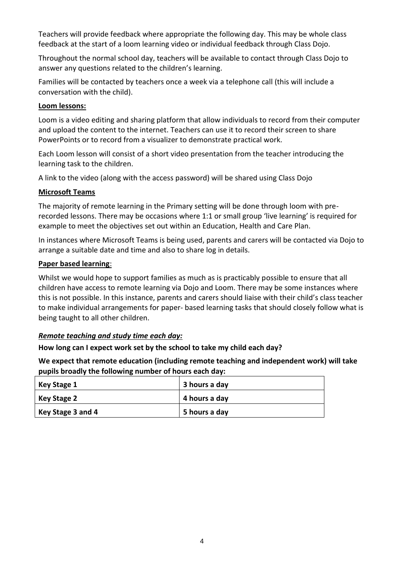Teachers will provide feedback where appropriate the following day. This may be whole class feedback at the start of a loom learning video or individual feedback through Class Dojo.

Throughout the normal school day, teachers will be available to contact through Class Dojo to answer any questions related to the children's learning.

Families will be contacted by teachers once a week via a telephone call (this will include a conversation with the child).

#### **Loom lessons:**

Loom is a video editing and sharing platform that allow individuals to record from their computer and upload the content to the internet. Teachers can use it to record their screen to share PowerPoints or to record from a visualizer to demonstrate practical work.

Each Loom lesson will consist of a short video presentation from the teacher introducing the learning task to the children.

A link to the video (along with the access password) will be shared using Class Dojo

#### **Microsoft Teams**

The majority of remote learning in the Primary setting will be done through loom with prerecorded lessons. There may be occasions where 1:1 or small group 'live learning' is required for example to meet the objectives set out within an Education, Health and Care Plan.

In instances where Microsoft Teams is being used, parents and carers will be contacted via Dojo to arrange a suitable date and time and also to share log in details.

#### **Paper based learning**:

Whilst we would hope to support families as much as is practicably possible to ensure that all children have access to remote learning via Dojo and Loom. There may be some instances where this is not possible. In this instance, parents and carers should liaise with their child's class teacher to make individual arrangements for paper- based learning tasks that should closely follow what is being taught to all other children.

#### *Remote teaching and study time each day:*

**How long can I expect work set by the school to take my child each day?**

**We expect that remote education (including remote teaching and independent work) will take pupils broadly the following number of hours each day:**

| Key Stage 1       | 3 hours a day |
|-------------------|---------------|
| Key Stage 2       | 4 hours a day |
| Key Stage 3 and 4 | 5 hours a day |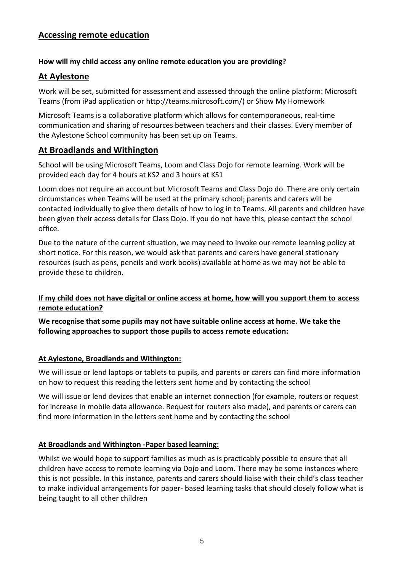# **Accessing remote education**

#### **How will my child access any online remote education you are providing?**

# **At Aylestone**

Work will be set, submitted for assessment and assessed through the online platform: Microsoft Teams (from iPad application or [http://teams.microsoft.com/\)](http://teams.microsoft.com/) or Show My Homework

Microsoft Teams is a collaborative platform which allows for contemporaneous, real-time communication and sharing of resources between teachers and their classes. Every member of the Aylestone School community has been set up on Teams.

#### **At Broadlands and Withington**

School will be using Microsoft Teams, Loom and Class Dojo for remote learning. Work will be provided each day for 4 hours at KS2 and 3 hours at KS1

Loom does not require an account but Microsoft Teams and Class Dojo do. There are only certain circumstances when Teams will be used at the primary school; parents and carers will be contacted individually to give them details of how to log in to Teams. All parents and children have been given their access details for Class Dojo. If you do not have this, please contact the school office.

Due to the nature of the current situation, we may need to invoke our remote learning policy at short notice. For this reason, we would ask that parents and carers have general stationary resources (such as pens, pencils and work books) available at home as we may not be able to provide these to children.

#### **If my child does not have digital or online access at home, how will you support them to access remote education?**

**We recognise that some pupils may not have suitable online access at home. We take the following approaches to support those pupils to access remote education:**

#### **At Aylestone, Broadlands and Withington:**

We will issue or lend laptops or tablets to pupils, and parents or carers can find more information on how to request this reading the letters sent home and by contacting the school

We will issue or lend devices that enable an internet connection (for example, routers or request for increase in mobile data allowance. Request for routers also made), and parents or carers can find more information in the letters sent home and by contacting the school

#### **At Broadlands and Withington -Paper based learning:**

Whilst we would hope to support families as much as is practicably possible to ensure that all children have access to remote learning via Dojo and Loom. There may be some instances where this is not possible. In this instance, parents and carers should liaise with their child's class teacher to make individual arrangements for paper- based learning tasks that should closely follow what is being taught to all other children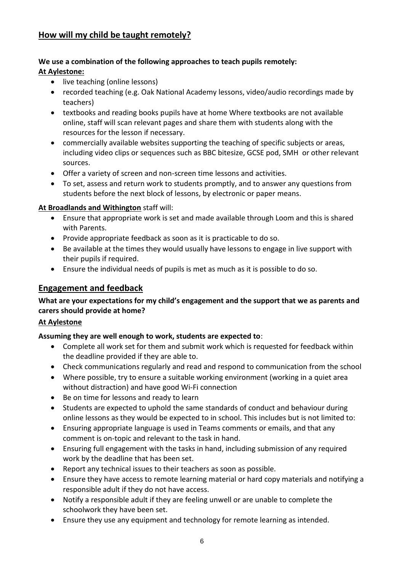# **How will my child be taught remotely?**

#### **We use a combination of the following approaches to teach pupils remotely: At Aylestone:**

- live teaching (online lessons)
- recorded teaching (e.g. Oak National Academy lessons, video/audio recordings made by teachers)
- textbooks and reading books pupils have at home Where textbooks are not available online, staff will scan relevant pages and share them with students along with the resources for the lesson if necessary.
- commercially available websites supporting the teaching of specific subjects or areas, including video clips or sequences such as BBC bitesize, GCSE pod, SMH or other relevant sources.
- Offer a variety of screen and non-screen time lessons and activities.
- To set, assess and return work to students promptly, and to answer any questions from students before the next block of lessons, by electronic or paper means.

#### **At Broadlands and Withington** staff will:

- Ensure that appropriate work is set and made available through Loom and this is shared with Parents.
- Provide appropriate feedback as soon as it is practicable to do so.
- Be available at the times they would usually have lessons to engage in live support with their pupils if required.
- Ensure the individual needs of pupils is met as much as it is possible to do so.

### **Engagement and feedback**

#### **What are your expectations for my child's engagement and the support that we as parents and carers should provide at home?**

#### **At Aylestone**

#### **Assuming they are well enough to work, students are expected to**:

- Complete all work set for them and submit work which is requested for feedback within the deadline provided if they are able to.
- Check communications regularly and read and respond to communication from the school
- Where possible, try to ensure a suitable working environment (working in a quiet area without distraction) and have good Wi-Fi connection
- Be on time for lessons and ready to learn
- Students are expected to uphold the same standards of conduct and behaviour during online lessons as they would be expected to in school. This includes but is not limited to:
- Ensuring appropriate language is used in Teams comments or emails, and that any comment is on-topic and relevant to the task in hand.
- Ensuring full engagement with the tasks in hand, including submission of any required work by the deadline that has been set.
- Report any technical issues to their teachers as soon as possible.
- Ensure they have access to remote learning material or hard copy materials and notifying a responsible adult if they do not have access.
- Notify a responsible adult if they are feeling unwell or are unable to complete the schoolwork they have been set.
- Ensure they use any equipment and technology for remote learning as intended.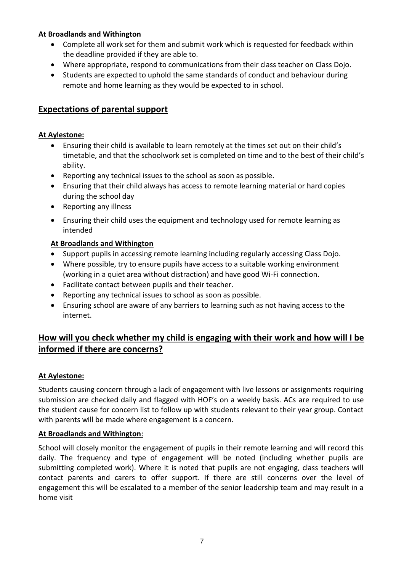#### **At Broadlands and Withington**

- Complete all work set for them and submit work which is requested for feedback within the deadline provided if they are able to.
- Where appropriate, respond to communications from their class teacher on Class Dojo.
- Students are expected to uphold the same standards of conduct and behaviour during remote and home learning as they would be expected to in school.

# **Expectations of parental support**

#### **At Aylestone:**

- Ensuring their child is available to learn remotely at the times set out on their child's timetable, and that the schoolwork set is completed on time and to the best of their child's ability.
- Reporting any technical issues to the school as soon as possible.
- Ensuring that their child always has access to remote learning material or hard copies during the school day
- Reporting any illness
- Ensuring their child uses the equipment and technology used for remote learning as intended

#### **At Broadlands and Withington**

- Support pupils in accessing remote learning including regularly accessing Class Dojo.
- Where possible, try to ensure pupils have access to a suitable working environment (working in a quiet area without distraction) and have good Wi-Fi connection.
- Facilitate contact between pupils and their teacher.
- Reporting any technical issues to school as soon as possible.
- Ensuring school are aware of any barriers to learning such as not having access to the internet.

# **How will you check whether my child is engaging with their work and how will I be informed if there are concerns?**

#### **At Aylestone:**

Students causing concern through a lack of engagement with live lessons or assignments requiring submission are checked daily and flagged with HOF's on a weekly basis. ACs are required to use the student cause for concern list to follow up with students relevant to their year group. Contact with parents will be made where engagement is a concern.

#### **At Broadlands and Withington**:

School will closely monitor the engagement of pupils in their remote learning and will record this daily. The frequency and type of engagement will be noted (including whether pupils are submitting completed work). Where it is noted that pupils are not engaging, class teachers will contact parents and carers to offer support. If there are still concerns over the level of engagement this will be escalated to a member of the senior leadership team and may result in a home visit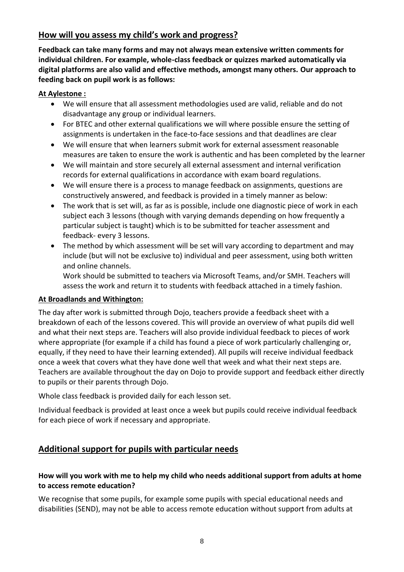# **How will you assess my child's work and progress?**

**Feedback can take many forms and may not always mean extensive written comments for individual children. For example, whole-class feedback or quizzes marked automatically via digital platforms are also valid and effective methods, amongst many others. Our approach to feeding back on pupil work is as follows:**

#### **At Aylestone :**

- We will ensure that all assessment methodologies used are valid, reliable and do not disadvantage any group or individual learners.
- For BTEC and other external qualifications we will where possible ensure the setting of assignments is undertaken in the face-to-face sessions and that deadlines are clear
- We will ensure that when learners submit work for external assessment reasonable measures are taken to ensure the work is authentic and has been completed by the learner
- We will maintain and store securely all external assessment and internal verification records for external qualifications in accordance with exam board regulations.
- We will ensure there is a process to manage feedback on assignments, questions are constructively answered, and feedback is provided in a timely manner as below:
- The work that is set will, as far as is possible, include one diagnostic piece of work in each subject each 3 lessons (though with varying demands depending on how frequently a particular subject is taught) which is to be submitted for teacher assessment and feedback- every 3 lessons.
- The method by which assessment will be set will vary according to department and may include (but will not be exclusive to) individual and peer assessment, using both written and online channels.

Work should be submitted to teachers via Microsoft Teams, and/or SMH. Teachers will assess the work and return it to students with feedback attached in a timely fashion.

#### **At Broadlands and Withington:**

The day after work is submitted through Dojo, teachers provide a feedback sheet with a breakdown of each of the lessons covered. This will provide an overview of what pupils did well and what their next steps are. Teachers will also provide individual feedback to pieces of work where appropriate (for example if a child has found a piece of work particularly challenging or, equally, if they need to have their learning extended). All pupils will receive individual feedback once a week that covers what they have done well that week and what their next steps are. Teachers are available throughout the day on Dojo to provide support and feedback either directly to pupils or their parents through Dojo.

Whole class feedback is provided daily for each lesson set.

Individual feedback is provided at least once a week but pupils could receive individual feedback for each piece of work if necessary and appropriate.

# **Additional support for pupils with particular needs**

#### **How will you work with me to help my child who needs additional support from adults at home to access remote education?**

We recognise that some pupils, for example some pupils with special educational needs and disabilities (SEND), may not be able to access remote education without support from adults at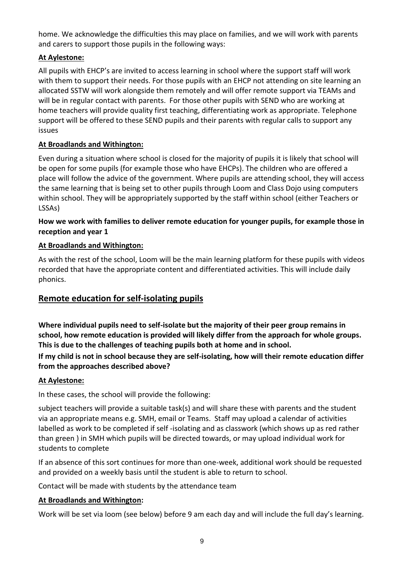home. We acknowledge the difficulties this may place on families, and we will work with parents and carers to support those pupils in the following ways:

#### **At Aylestone:**

All pupils with EHCP's are invited to access learning in school where the support staff will work with them to support their needs. For those pupils with an EHCP not attending on site learning an allocated SSTW will work alongside them remotely and will offer remote support via TEAMs and will be in regular contact with parents. For those other pupils with SEND who are working at home teachers will provide quality first teaching, differentiating work as appropriate. Telephone support will be offered to these SEND pupils and their parents with regular calls to support any issues

#### **At Broadlands and Withington:**

Even during a situation where school is closed for the majority of pupils it is likely that school will be open for some pupils (for example those who have EHCPs). The children who are offered a place will follow the advice of the government. Where pupils are attending school, they will access the same learning that is being set to other pupils through Loom and Class Dojo using computers within school. They will be appropriately supported by the staff within school (either Teachers or LSSAs)

#### **How we work with families to deliver remote education for younger pupils, for example those in reception and year 1**

#### **At Broadlands and Withington:**

As with the rest of the school, Loom will be the main learning platform for these pupils with videos recorded that have the appropriate content and differentiated activities. This will include daily phonics.

# **Remote education for self-isolating pupils**

**Where individual pupils need to self-isolate but the majority of their peer group remains in school, how remote education is provided will likely differ from the approach for whole groups. This is due to the challenges of teaching pupils both at home and in school.**

**If my child is not in school because they are self-isolating, how will their remote education differ from the approaches described above?** 

#### **At Aylestone:**

In these cases, the school will provide the following:

subject teachers will provide a suitable task(s) and will share these with parents and the student via an appropriate means e.g. SMH, email or Teams. Staff may upload a calendar of activities labelled as work to be completed if self -isolating and as classwork (which shows up as red rather than green ) in SMH which pupils will be directed towards, or may upload individual work for students to complete

If an absence of this sort continues for more than one-week, additional work should be requested and provided on a weekly basis until the student is able to return to school.

Contact will be made with students by the attendance team

#### **At Broadlands and Withington:**

Work will be set via loom (see below) before 9 am each day and will include the full day's learning.